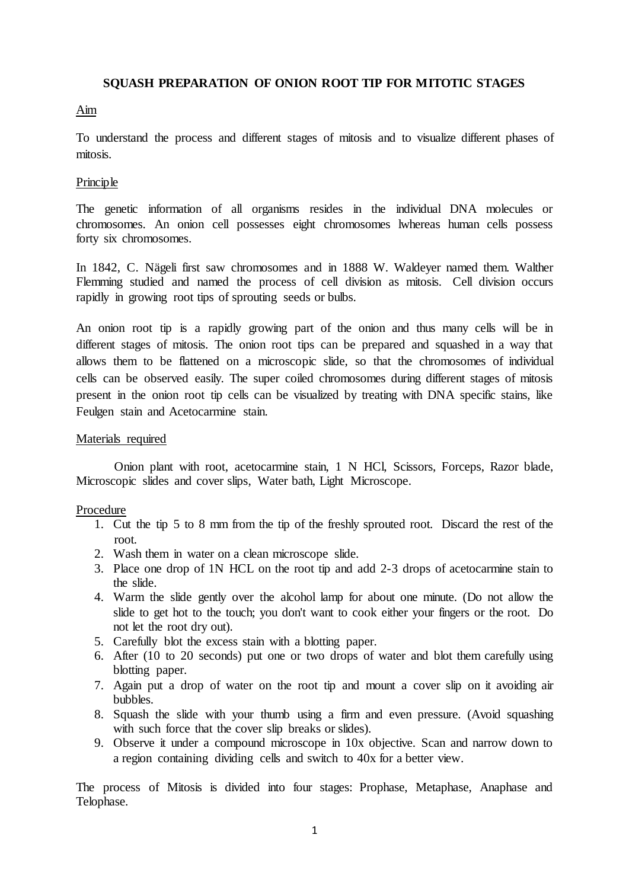### **SQUASH PREPARATION OF ONION ROOT TIP FOR MITOTIC STAGES**

# Aim

To understand the process and different stages of mitosis and to visualize different phases of mitosis.

### **Principle**

The genetic information of all organisms resides in the individual DNA molecules or chromosomes. An onion cell possesses eight chromosomes lwhereas human cells possess forty six chromosomes.

In 1842, C. Nägeli first saw chromosomes and in 1888 W. Waldeyer named them. Walther Flemming studied and named the process of cell division as mitosis. Cell division occurs rapidly in growing root tips of sprouting seeds or bulbs.

An onion root tip is a rapidly growing part of the onion and thus many cells will be in different stages of mitosis. The onion root tips can be prepared and squashed in a way that allows them to be flattened on a microscopic slide, so that the chromosomes of individual cells can be observed easily. The super coiled chromosomes during different stages of mitosis present in the onion root tip cells can be visualized by treating with DNA specific stains, like Feulgen stain and Acetocarmine stain.

### Materials required

Onion plant with root, acetocarmine stain, 1 N HCl, Scissors, Forceps, Razor blade, Microscopic slides and cover slips, Water bath, Light Microscope.

# Procedure

- 1. Cut the tip 5 to 8 mm from the tip of the freshly sprouted root. Discard the rest of the root.
- 2. Wash them in water on a clean microscope slide.
- 3. Place one drop of 1N HCL on the root tip and add 2-3 drops of acetocarmine stain to the slide.
- 4. Warm the slide gently over the alcohol lamp for about one minute. (Do not allow the slide to get hot to the touch; you don't want to cook either your fingers or the root. Do not let the root dry out).
- 5. Carefully blot the excess stain with a blotting paper.
- 6. After (10 to 20 seconds) put one or two drops of water and blot them carefully using blotting paper.
- 7. Again put a drop of water on the root tip and mount a cover slip on it avoiding air bubbles.
- 8. Squash the slide with your thumb using a firm and even pressure. (Avoid squashing with such force that the cover slip breaks or slides).
- 9. Observe it under a compound microscope in 10x objective. Scan and narrow down to a region containing dividing cells and switch to 40x for a better view.

The process of Mitosis is divided into four stages: Prophase, Metaphase, Anaphase and Telophase.